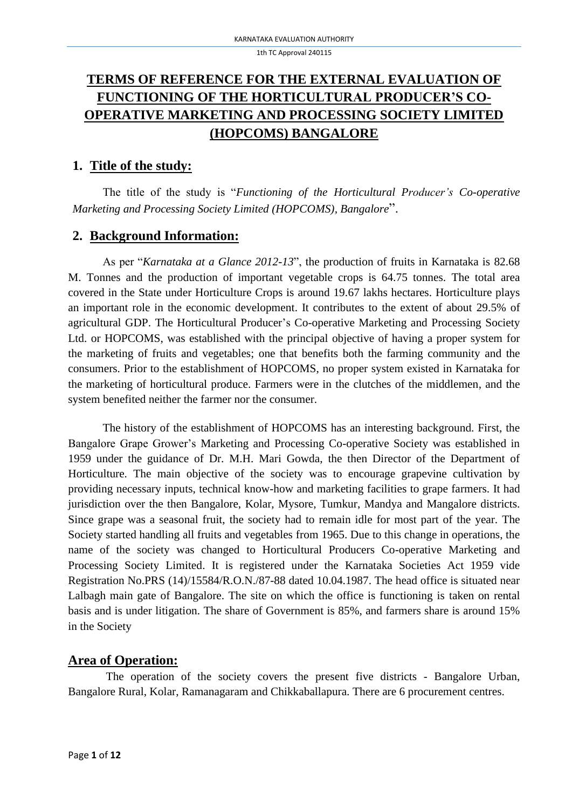# **TERMS OF REFERENCE FOR THE EXTERNAL EVALUATION OF FUNCTIONING OF THE HORTICULTURAL PRODUCER'S CO-OPERATIVE MARKETING AND PROCESSING SOCIETY LIMITED (HOPCOMS) BANGALORE**

### **1. Title of the study:**

The title of the study is "*Functioning of the Horticultural Producer's Co-operative Marketing and Processing Society Limited (HOPCOMS), Bangalore*".

# **2. Background Information:**

As per "*Karnataka at a Glance 2012-13*", the production of fruits in Karnataka is 82.68 M. Tonnes and the production of important vegetable crops is 64.75 tonnes. The total area covered in the State under Horticulture Crops is around 19.67 lakhs hectares. Horticulture plays an important role in the economic development. It contributes to the extent of about 29.5% of agricultural GDP. The Horticultural Producer's Co-operative Marketing and Processing Society Ltd. or HOPCOMS, was established with the principal objective of having a proper system for the marketing of fruits and vegetables; one that benefits both the farming community and the consumers. Prior to the establishment of HOPCOMS, no proper system existed in Karnataka for the marketing of horticultural produce. Farmers were in the clutches of the middlemen, and the system benefited neither the farmer nor the consumer.

The history of the establishment of HOPCOMS has an interesting background. First, the Bangalore Grape Grower's Marketing and Processing Co-operative Society was established in 1959 under the guidance of Dr. M.H. Mari Gowda, the then Director of the Department of Horticulture. The main objective of the society was to encourage grapevine cultivation by providing necessary inputs, technical know-how and marketing facilities to grape farmers. It had jurisdiction over the then Bangalore, Kolar, Mysore, Tumkur, Mandya and Mangalore districts. Since grape was a seasonal fruit, the society had to remain idle for most part of the year. The Society started handling all fruits and vegetables from 1965. Due to this change in operations, the name of the society was changed to Horticultural Producers Co-operative Marketing and Processing Society Limited. It is registered under the Karnataka Societies Act 1959 vide Registration No.PRS (14)/15584/R.O.N./87-88 dated 10.04.1987. The head office is situated near Lalbagh main gate of Bangalore. The site on which the office is functioning is taken on rental basis and is under litigation. The share of Government is 85%, and farmers share is around 15% in the Society

# **Area of Operation:**

The operation of the society covers the present five districts - Bangalore Urban, Bangalore Rural, Kolar, Ramanagaram and Chikkaballapura. There are 6 procurement centres.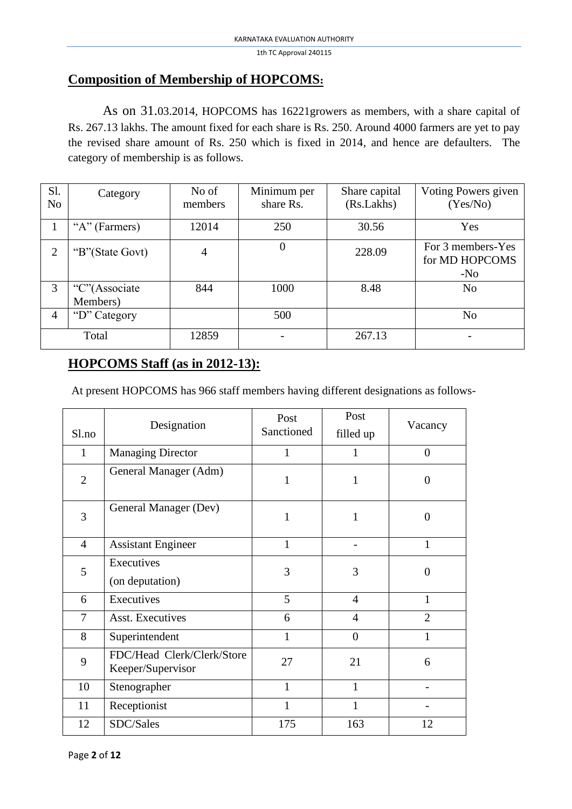## **Composition of Membership of HOPCOMS:**

As on 31.03.2014, HOPCOMS has 16221growers as members, with a share capital of Rs. 267.13 lakhs. The amount fixed for each share is Rs. 250. Around 4000 farmers are yet to pay the revised share amount of Rs. 250 which is fixed in 2014, and hence are defaulters. The category of membership is as follows.

| Sl.<br>N <sub>0</sub> | Category                  | No of<br>members | Minimum per<br>share Rs. | Share capital<br>(Rs.Lakhs) | Voting Powers given<br>(Yes/No)              |
|-----------------------|---------------------------|------------------|--------------------------|-----------------------------|----------------------------------------------|
|                       | "A" (Farmers)             | 12014            | 250                      | 30.56                       | Yes                                          |
| $\overline{2}$        | "B"(State Govt)           | 4                |                          | 228.09                      | For 3 members-Yes<br>for MD HOPCOMS<br>$-N0$ |
| 3                     | "C"(Associate<br>Members) | 844              | 1000                     | 8.48                        | N <sub>o</sub>                               |
| $\overline{4}$        | "D" Category              |                  | 500                      |                             | N <sub>o</sub>                               |
| Total                 |                           | 12859            |                          | 267.13                      |                                              |

# **HOPCOMS Staff (as in 2012-13):**

At present HOPCOMS has 966 staff members having different designations as follows-

| S1.no          | Designation                                     | Post<br>Sanctioned | Post           | Vacancy        |  |
|----------------|-------------------------------------------------|--------------------|----------------|----------------|--|
|                |                                                 |                    | filled up      |                |  |
| $\mathbf{1}$   | <b>Managing Director</b>                        | $\mathbf{1}$       | 1              | $\overline{0}$ |  |
| $\overline{2}$ | General Manager (Adm)                           | $\mathbf{1}$       | 1              | $\overline{0}$ |  |
| 3              | General Manager (Dev)                           | 1                  | $\mathbf{1}$   | $\theta$       |  |
| $\overline{4}$ | <b>Assistant Engineer</b>                       | $\mathbf{1}$       |                | $\mathbf{1}$   |  |
| 5              | Executives                                      | 3                  | 3              | $\overline{0}$ |  |
|                | (on deputation)                                 |                    |                |                |  |
| 6              | Executives                                      | 5                  | $\overline{4}$ | $\mathbf{1}$   |  |
| $\overline{7}$ | <b>Asst. Executives</b>                         | 6                  | $\overline{4}$ | $\overline{2}$ |  |
| 8              | Superintendent                                  | $\mathbf{1}$       | $\overline{0}$ | 1              |  |
| 9              | FDC/Head Clerk/Clerk/Store<br>Keeper/Supervisor | 27                 | 21             | 6              |  |
| 10             | Stenographer                                    | $\mathbf{1}$       | $\mathbf{1}$   |                |  |
| 11             | Receptionist                                    | $\mathbf{1}$       | $\mathbf{1}$   |                |  |
| 12             | SDC/Sales                                       | 175                | 163            | 12             |  |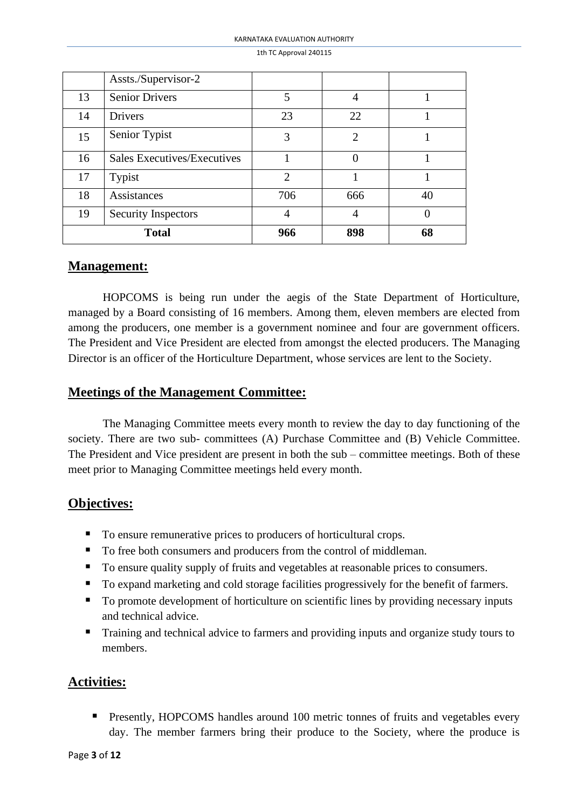|    | Assts./Supervisor-2         |                |                |    |
|----|-----------------------------|----------------|----------------|----|
| 13 | <b>Senior Drivers</b>       | 5              | 4              |    |
| 14 | <b>Drivers</b>              | 23             | 22             |    |
| 15 | Senior Typist               | 3              | $\overline{2}$ |    |
| 16 | Sales Executives/Executives |                | $\Omega$       |    |
| 17 | Typist                      | $\overline{2}$ |                |    |
| 18 | Assistances                 | 706            | 666            | 40 |
| 19 | <b>Security Inspectors</b>  |                | $\overline{A}$ |    |
|    | <b>Total</b>                | 966            | 898            | 68 |

### **Management:**

HOPCOMS is being run under the aegis of the State Department of Horticulture, managed by a Board consisting of 16 members. Among them, eleven members are elected from among the producers, one member is a government nominee and four are government officers. The President and Vice President are elected from amongst the elected producers. The Managing Director is an officer of the Horticulture Department, whose services are lent to the Society.

## **Meetings of the Management Committee:**

The Managing Committee meets every month to review the day to day functioning of the society. There are two sub- committees (A) Purchase Committee and (B) Vehicle Committee. The President and Vice president are present in both the sub – committee meetings. Both of these meet prior to Managing Committee meetings held every month.

## **Objectives:**

- To ensure remunerative prices to producers of horticultural crops.
- To free both consumers and producers from the control of middleman.
- To ensure quality supply of fruits and vegetables at reasonable prices to consumers.
- To expand marketing and cold storage facilities progressively for the benefit of farmers.
- To promote development of horticulture on scientific lines by providing necessary inputs and technical advice.
- Training and technical advice to farmers and providing inputs and organize study tours to members.

# **Activities:**

**•** Presently, HOPCOMS handles around 100 metric tonnes of fruits and vegetables every day. The member farmers bring their produce to the Society, where the produce is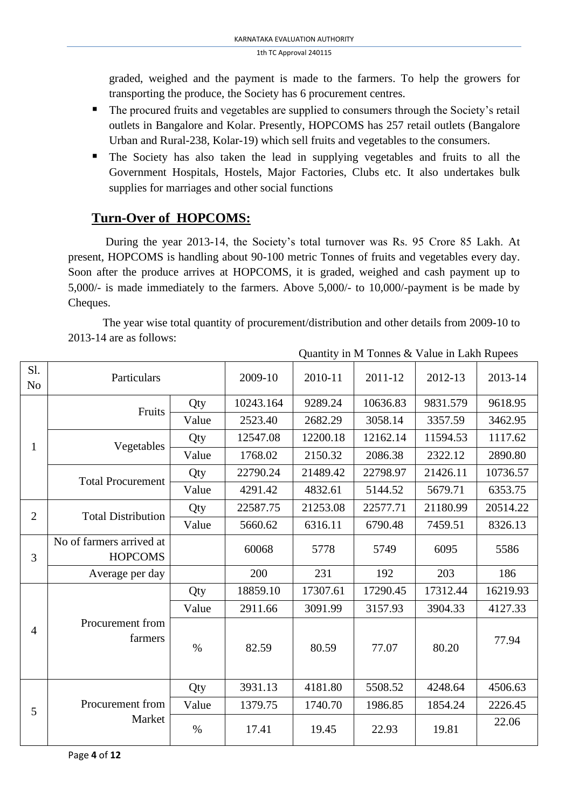graded, weighed and the payment is made to the farmers. To help the growers for transporting the produce, the Society has 6 procurement centres.

- The procured fruits and vegetables are supplied to consumers through the Society's retail outlets in Bangalore and Kolar. Presently, HOPCOMS has 257 retail outlets (Bangalore Urban and Rural-238, Kolar-19) which sell fruits and vegetables to the consumers.
- The Society has also taken the lead in supplying vegetables and fruits to all the Government Hospitals, Hostels, Major Factories, Clubs etc. It also undertakes bulk supplies for marriages and other social functions

# **Turn-Over of HOPCOMS:**

During the year 2013-14, the Society's total turnover was Rs. 95 Crore 85 Lakh. At present, HOPCOMS is handling about 90-100 metric Tonnes of fruits and vegetables every day. Soon after the produce arrives at HOPCOMS, it is graded, weighed and cash payment up to 5,000/- is made immediately to the farmers. Above 5,000/- to 10,000/-payment is be made by Cheques.

The year wise total quantity of procurement/distribution and other details from 2009-10 to 2013-14 are as follows:

Quantity in M Tonnes & Value in Lakh Rupees

| Sl.<br>N <sub>o</sub> | Particulars                                |       | 2009-10   | 2010-11  | 2011-12  | 2012-13  | 2013-14  |
|-----------------------|--------------------------------------------|-------|-----------|----------|----------|----------|----------|
|                       | Fruits                                     | Qty   | 10243.164 | 9289.24  | 10636.83 | 9831.579 | 9618.95  |
|                       |                                            | Value | 2523.40   | 2682.29  | 3058.14  | 3357.59  | 3462.95  |
| $\mathbf{1}$          |                                            | Qty   | 12547.08  | 12200.18 | 12162.14 | 11594.53 | 1117.62  |
|                       | Vegetables                                 | Value | 1768.02   | 2150.32  | 2086.38  | 2322.12  | 2890.80  |
|                       | <b>Total Procurement</b>                   | Qty   | 22790.24  | 21489.42 | 22798.97 | 21426.11 | 10736.57 |
|                       |                                            | Value | 4291.42   | 4832.61  | 5144.52  | 5679.71  | 6353.75  |
| $\overline{2}$        | <b>Total Distribution</b>                  | Qty   | 22587.75  | 21253.08 | 22577.71 | 21180.99 | 20514.22 |
|                       |                                            | Value | 5660.62   | 6316.11  | 6790.48  | 7459.51  | 8326.13  |
| 3                     | No of farmers arrived at<br><b>HOPCOMS</b> |       | 60068     | 5778     | 5749     | 6095     | 5586     |
|                       | Average per day                            |       | 200       | 231      | 192      | 203      | 186      |
|                       |                                            | Qty   | 18859.10  | 17307.61 | 17290.45 | 17312.44 | 16219.93 |
|                       |                                            | Value | 2911.66   | 3091.99  | 3157.93  | 3904.33  | 4127.33  |
| $\overline{4}$        | Procurement from<br>farmers                | $\%$  | 82.59     | 80.59    | 77.07    | 80.20    | 77.94    |
|                       |                                            | Qty   | 3931.13   | 4181.80  | 5508.52  | 4248.64  | 4506.63  |
| 5                     | Procurement from                           | Value | 1379.75   | 1740.70  | 1986.85  | 1854.24  | 2226.45  |
|                       | Market                                     | $\%$  | 17.41     | 19.45    | 22.93    | 19.81    | 22.06    |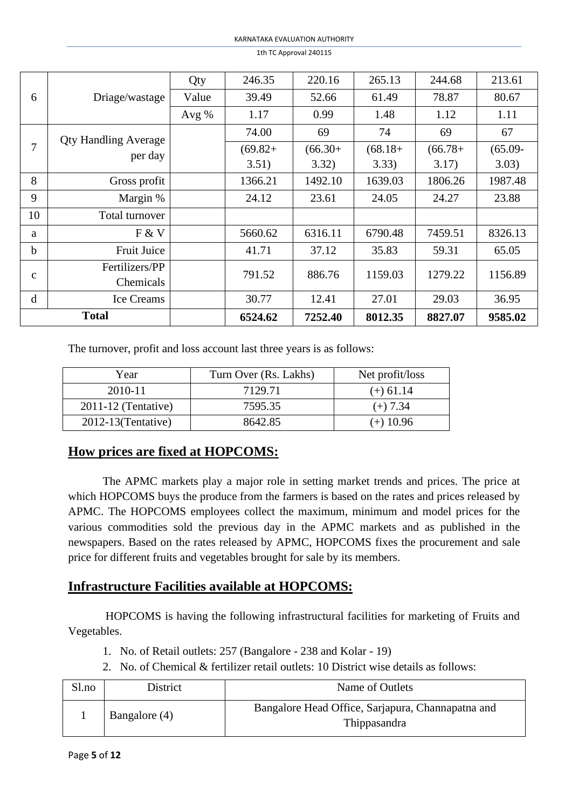|              |                             | Qty     | 246.35     | 220.16    | 265.13     | 244.68     | 213.61     |
|--------------|-----------------------------|---------|------------|-----------|------------|------------|------------|
| 6            | Driage/wastage              | Value   | 39.49      | 52.66     | 61.49      | 78.87      | 80.67      |
|              |                             | Avg $%$ | 1.17       | 0.99      | 1.48       | 1.12       | 1.11       |
|              | <b>Qty Handling Average</b> |         | 74.00      | 69        | 74         | 69         | 67         |
| 7            | per day                     |         | $(69.82 +$ | $(66.30+$ | $(68.18 +$ | $(66.78 +$ | $(65.09 -$ |
|              |                             |         | 3.51)      | 3.32)     | 3.33)      | 3.17)      | 3.03)      |
| 8            | Gross profit                |         | 1366.21    | 1492.10   | 1639.03    | 1806.26    | 1987.48    |
| 9            | Margin %                    |         | 24.12      | 23.61     | 24.05      | 24.27      | 23.88      |
| 10           | Total turnover              |         |            |           |            |            |            |
| a            | F & V                       |         | 5660.62    | 6316.11   | 6790.48    | 7459.51    | 8326.13    |
| h            | <b>Fruit Juice</b>          |         | 41.71      | 37.12     | 35.83      | 59.31      | 65.05      |
|              | Fertilizers/PP              |         | 791.52     | 886.76    | 1159.03    | 1279.22    | 1156.89    |
| $\mathbf{C}$ | Chemicals                   |         |            |           |            |            |            |
| d            | <b>Ice Creams</b>           |         | 30.77      | 12.41     | 27.01      | 29.03      | 36.95      |
| <b>Total</b> |                             |         | 6524.62    | 7252.40   | 8012.35    | 8827.07    | 9585.02    |

The turnover, profit and loss account last three years is as follows:

| Year                    | Turn Over (Rs. Lakhs) | Net profit/loss |
|-------------------------|-----------------------|-----------------|
| 2010-11                 | 7129.71               | $(+) 61.14$     |
| $2011-12$ (Tentative)   | 7595.35               | $(+) 7.34$      |
| $2012 - 13$ (Tentative) | 8642.85               | $(+)$ 10.96     |

# **How prices are fixed at HOPCOMS:**

The APMC markets play a major role in setting market trends and prices. The price at which HOPCOMS buys the produce from the farmers is based on the rates and prices released by APMC. The HOPCOMS employees collect the maximum, minimum and model prices for the various commodities sold the previous day in the APMC markets and as published in the newspapers. Based on the rates released by APMC, HOPCOMS fixes the procurement and sale price for different fruits and vegetables brought for sale by its members.

## **Infrastructure Facilities available at HOPCOMS:**

HOPCOMS is having the following infrastructural facilities for marketing of Fruits and Vegetables.

- 1. No. of Retail outlets: 257 (Bangalore 238 and Kolar 19)
- 2. No. of Chemical & fertilizer retail outlets: 10 District wise details as follows:

| Sl.no | District      | Name of Outlets                                                   |
|-------|---------------|-------------------------------------------------------------------|
|       | Bangalore (4) | Bangalore Head Office, Sarjapura, Channapatna and<br>Thippasandra |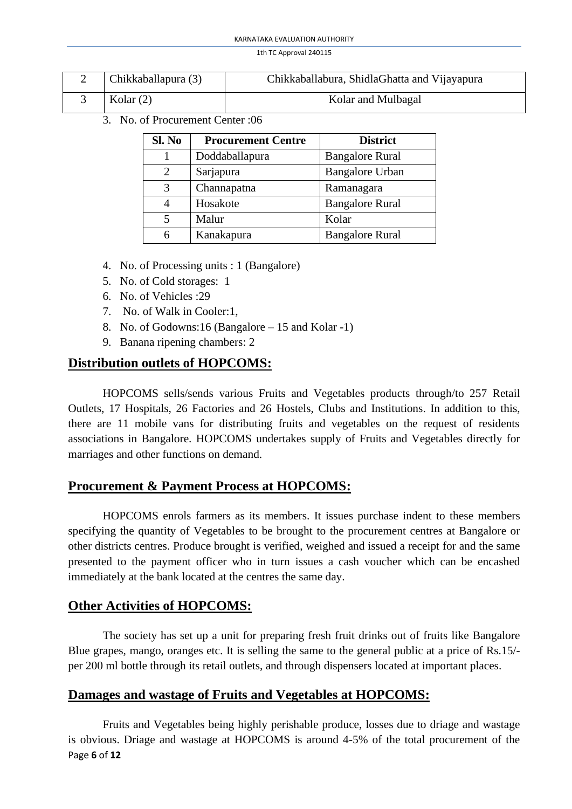| Chikkaballapura (3) | Chikkaballabura, ShidlaGhatta and Vijayapura |
|---------------------|----------------------------------------------|
| Kolar $(2)$         | Kolar and Mulbagal                           |

3. No. of Procurement Center :06

| Sl. No | <b>Procurement Centre</b> | <b>District</b>        |
|--------|---------------------------|------------------------|
|        | Doddaballapura            | <b>Bangalore Rural</b> |
| 2      | Sarjapura                 | <b>Bangalore Urban</b> |
| 3      | Channapatna               | Ramanagara             |
| 4      | Hosakote                  | <b>Bangalore Rural</b> |
| 5      | Malur                     | Kolar                  |
| 6      | Kanakapura                | <b>Bangalore Rural</b> |

- 4. No. of Processing units : 1 (Bangalore)
- 5. No. of Cold storages: 1
- 6. No. of Vehicles :29
- 7. No. of Walk in Cooler:1,
- 8. No. of Godowns:16 (Bangalore 15 and Kolar -1)
- 9. Banana ripening chambers: 2

## **Distribution outlets of HOPCOMS:**

HOPCOMS sells/sends various Fruits and Vegetables products through/to 257 Retail Outlets, 17 Hospitals, 26 Factories and 26 Hostels, Clubs and Institutions. In addition to this, there are 11 mobile vans for distributing fruits and vegetables on the request of residents associations in Bangalore. HOPCOMS undertakes supply of Fruits and Vegetables directly for marriages and other functions on demand.

## **Procurement & Payment Process at HOPCOMS:**

HOPCOMS enrols farmers as its members. It issues purchase indent to these members specifying the quantity of Vegetables to be brought to the procurement centres at Bangalore or other districts centres. Produce brought is verified, weighed and issued a receipt for and the same presented to the payment officer who in turn issues a cash voucher which can be encashed immediately at the bank located at the centres the same day.

# **Other Activities of HOPCOMS:**

The society has set up a unit for preparing fresh fruit drinks out of fruits like Bangalore Blue grapes, mango, oranges etc. It is selling the same to the general public at a price of Rs.15/ per 200 ml bottle through its retail outlets, and through dispensers located at important places.

## **Damages and wastage of Fruits and Vegetables at HOPCOMS:**

Page **6** of **12** Fruits and Vegetables being highly perishable produce, losses due to driage and wastage is obvious. Driage and wastage at HOPCOMS is around 4-5% of the total procurement of the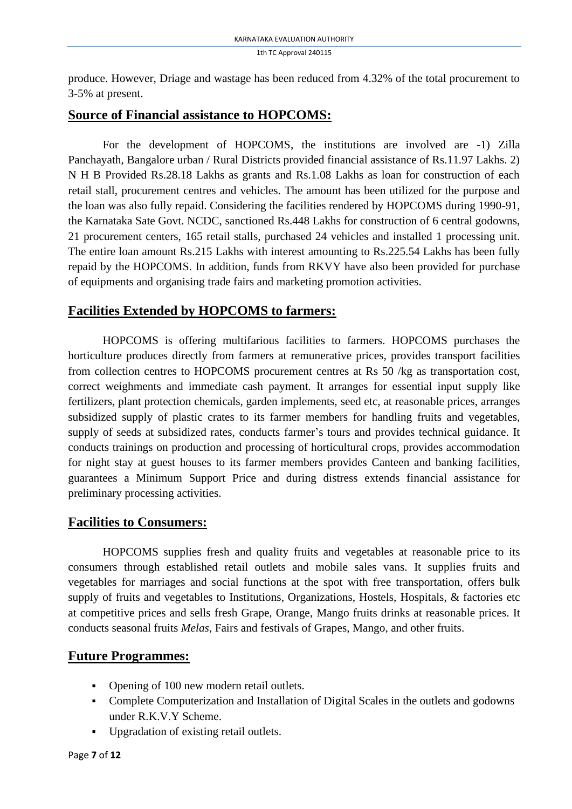produce. However, Driage and wastage has been reduced from 4.32% of the total procurement to 3-5% at present.

## **Source of Financial assistance to HOPCOMS:**

For the development of HOPCOMS, the institutions are involved are -1) Zilla Panchayath, Bangalore urban / Rural Districts provided financial assistance of Rs.11.97 Lakhs. 2) N H B Provided Rs.28.18 Lakhs as grants and Rs.1.08 Lakhs as loan for construction of each retail stall, procurement centres and vehicles. The amount has been utilized for the purpose and the loan was also fully repaid. Considering the facilities rendered by HOPCOMS during 1990-91, the Karnataka Sate Govt. NCDC, sanctioned Rs.448 Lakhs for construction of 6 central godowns, 21 procurement centers, 165 retail stalls, purchased 24 vehicles and installed 1 processing unit. The entire loan amount Rs.215 Lakhs with interest amounting to Rs.225.54 Lakhs has been fully repaid by the HOPCOMS. In addition, funds from RKVY have also been provided for purchase of equipments and organising trade fairs and marketing promotion activities.

# **Facilities Extended by HOPCOMS to farmers:**

HOPCOMS is offering multifarious facilities to farmers. HOPCOMS purchases the horticulture produces directly from farmers at remunerative prices, provides transport facilities from collection centres to HOPCOMS procurement centres at Rs 50 /kg as transportation cost, correct weighments and immediate cash payment. It arranges for essential input supply like fertilizers, plant protection chemicals, garden implements, seed etc, at reasonable prices, arranges subsidized supply of plastic crates to its farmer members for handling fruits and vegetables, supply of seeds at subsidized rates, conducts farmer's tours and provides technical guidance. It conducts trainings on production and processing of horticultural crops, provides accommodation for night stay at guest houses to its farmer members provides Canteen and banking facilities, guarantees a Minimum Support Price and during distress extends financial assistance for preliminary processing activities.

# **Facilities to Consumers:**

HOPCOMS supplies fresh and quality fruits and vegetables at reasonable price to its consumers through established retail outlets and mobile sales vans. It supplies fruits and vegetables for marriages and social functions at the spot with free transportation, offers bulk supply of fruits and vegetables to Institutions, Organizations, Hostels, Hospitals, & factories etc at competitive prices and sells fresh Grape, Orange, Mango fruits drinks at reasonable prices. It conducts seasonal fruits *Melas*, Fairs and festivals of Grapes, Mango, and other fruits.

# **Future Programmes:**

- Opening of 100 new modern retail outlets.
- Complete Computerization and Installation of Digital Scales in the outlets and godowns under R.K.V.Y Scheme.
- Upgradation of existing retail outlets.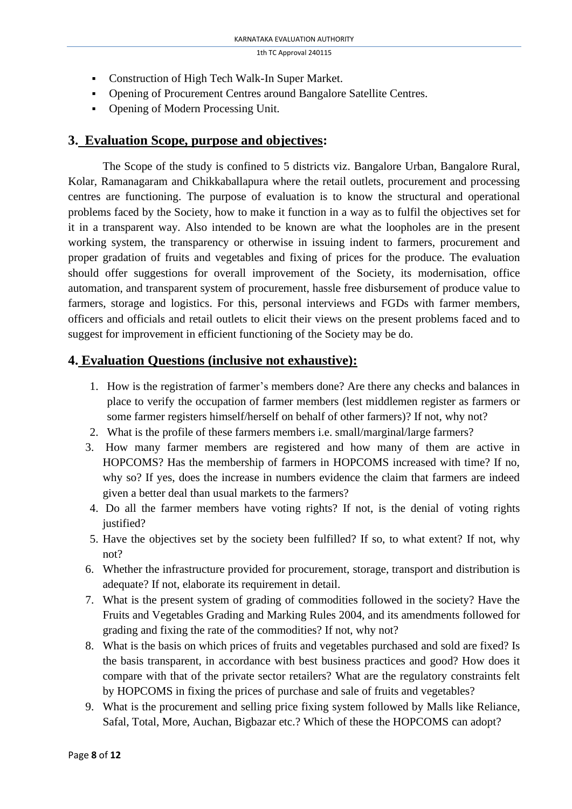- Construction of High Tech Walk-In Super Market.
- Opening of Procurement Centres around Bangalore Satellite Centres.
- Opening of Modern Processing Unit.

### **3. Evaluation Scope, purpose and objectives:**

The Scope of the study is confined to 5 districts viz. Bangalore Urban, Bangalore Rural, Kolar, Ramanagaram and Chikkaballapura where the retail outlets, procurement and processing centres are functioning. The purpose of evaluation is to know the structural and operational problems faced by the Society, how to make it function in a way as to fulfil the objectives set for it in a transparent way. Also intended to be known are what the loopholes are in the present working system, the transparency or otherwise in issuing indent to farmers, procurement and proper gradation of fruits and vegetables and fixing of prices for the produce. The evaluation should offer suggestions for overall improvement of the Society, its modernisation, office automation, and transparent system of procurement, hassle free disbursement of produce value to farmers, storage and logistics. For this, personal interviews and FGDs with farmer members, officers and officials and retail outlets to elicit their views on the present problems faced and to suggest for improvement in efficient functioning of the Society may be do.

### **4. Evaluation Questions (inclusive not exhaustive):**

- 1. How is the registration of farmer's members done? Are there any checks and balances in place to verify the occupation of farmer members (lest middlemen register as farmers or some farmer registers himself/herself on behalf of other farmers)? If not, why not?
- 2. What is the profile of these farmers members i.e. small/marginal/large farmers?
- 3. How many farmer members are registered and how many of them are active in HOPCOMS? Has the membership of farmers in HOPCOMS increased with time? If no, why so? If yes, does the increase in numbers evidence the claim that farmers are indeed given a better deal than usual markets to the farmers?
- 4. Do all the farmer members have voting rights? If not, is the denial of voting rights justified?
- 5. Have the objectives set by the society been fulfilled? If so, to what extent? If not, why not?
- 6. Whether the infrastructure provided for procurement, storage, transport and distribution is adequate? If not, elaborate its requirement in detail.
- 7. What is the present system of grading of commodities followed in the society? Have the Fruits and Vegetables Grading and Marking Rules 2004, and its amendments followed for grading and fixing the rate of the commodities? If not, why not?
- 8. What is the basis on which prices of fruits and vegetables purchased and sold are fixed? Is the basis transparent, in accordance with best business practices and good? How does it compare with that of the private sector retailers? What are the regulatory constraints felt by HOPCOMS in fixing the prices of purchase and sale of fruits and vegetables?
- 9. What is the procurement and selling price fixing system followed by Malls like Reliance, Safal, Total, More, Auchan, Bigbazar etc.? Which of these the HOPCOMS can adopt?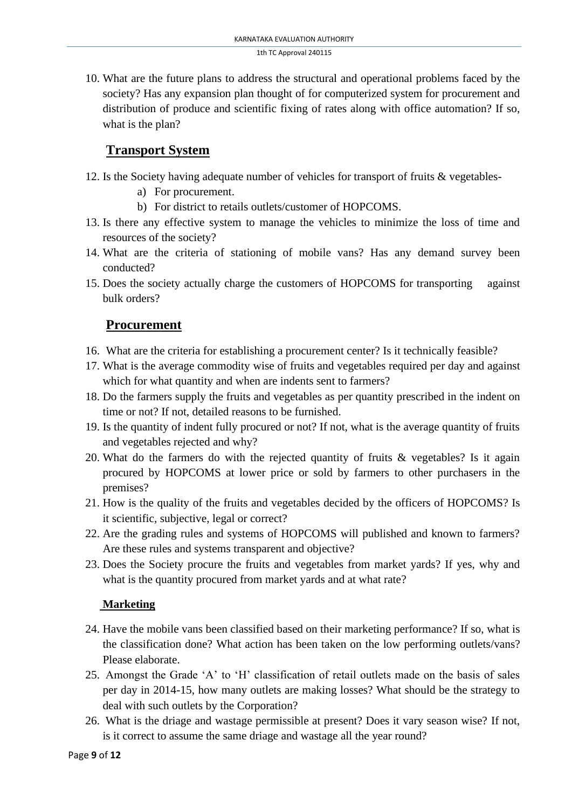10. What are the future plans to address the structural and operational problems faced by the society? Has any expansion plan thought of for computerized system for procurement and distribution of produce and scientific fixing of rates along with office automation? If so, what is the plan?

# **Transport System**

- 12. Is the Society having adequate number of vehicles for transport of fruits & vegetables
	- a) For procurement.
	- b) For district to retails outlets/customer of HOPCOMS.
- 13. Is there any effective system to manage the vehicles to minimize the loss of time and resources of the society?
- 14. What are the criteria of stationing of mobile vans? Has any demand survey been conducted?
- 15. Does the society actually charge the customers of HOPCOMS for transporting against bulk orders?

## **Procurement**

- 16. What are the criteria for establishing a procurement center? Is it technically feasible?
- 17. What is the average commodity wise of fruits and vegetables required per day and against which for what quantity and when are indents sent to farmers?
- 18. Do the farmers supply the fruits and vegetables as per quantity prescribed in the indent on time or not? If not, detailed reasons to be furnished.
- 19. Is the quantity of indent fully procured or not? If not, what is the average quantity of fruits and vegetables rejected and why?
- 20. What do the farmers do with the rejected quantity of fruits & vegetables? Is it again procured by HOPCOMS at lower price or sold by farmers to other purchasers in the premises?
- 21. How is the quality of the fruits and vegetables decided by the officers of HOPCOMS? Is it scientific, subjective, legal or correct?
- 22. Are the grading rules and systems of HOPCOMS will published and known to farmers? Are these rules and systems transparent and objective?
- 23. Does the Society procure the fruits and vegetables from market yards? If yes, why and what is the quantity procured from market yards and at what rate?

### **Marketing**

- 24. Have the mobile vans been classified based on their marketing performance? If so, what is the classification done? What action has been taken on the low performing outlets/vans? Please elaborate.
- 25. Amongst the Grade 'A' to 'H' classification of retail outlets made on the basis of sales per day in 2014-15, how many outlets are making losses? What should be the strategy to deal with such outlets by the Corporation?
- 26. What is the driage and wastage permissible at present? Does it vary season wise? If not, is it correct to assume the same driage and wastage all the year round?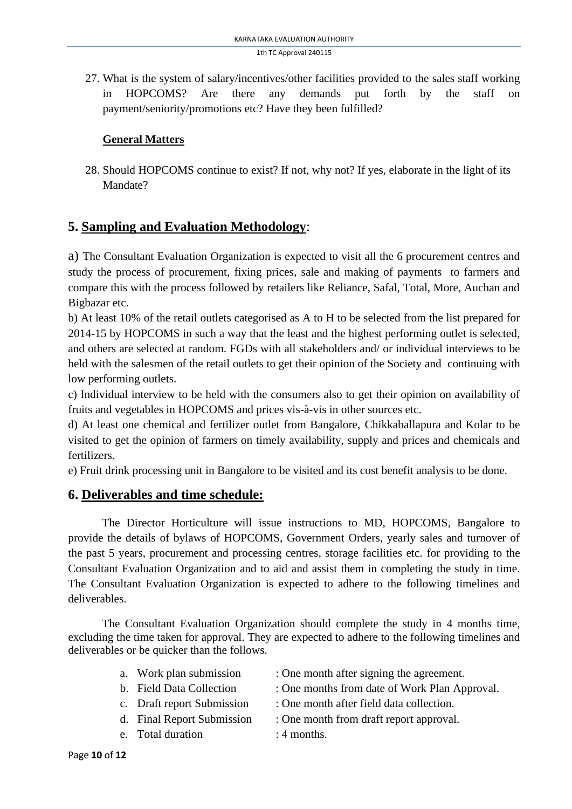27. What is the system of salary/incentives/other facilities provided to the sales staff working in HOPCOMS? Are there any demands put forth by the staff on payment/seniority/promotions etc? Have they been fulfilled?

### **General Matters**

28. Should HOPCOMS continue to exist? If not, why not? If yes, elaborate in the light of its Mandate?

# **5. Sampling and Evaluation Methodology**:

a) The Consultant Evaluation Organization is expected to visit all the 6 procurement centres and study the process of procurement, fixing prices, sale and making of payments to farmers and compare this with the process followed by retailers like Reliance, Safal, Total, More, Auchan and Bigbazar etc.

b) At least 10% of the retail outlets categorised as A to H to be selected from the list prepared for 2014-15 by HOPCOMS in such a way that the least and the highest performing outlet is selected, and others are selected at random. FGDs with all stakeholders and/ or individual interviews to be held with the salesmen of the retail outlets to get their opinion of the Society and continuing with low performing outlets.

c) Individual interview to be held with the consumers also to get their opinion on availability of fruits and vegetables in HOPCOMS and prices vis-à-vis in other sources etc.

d) At least one chemical and fertilizer outlet from Bangalore, Chikkaballapura and Kolar to be visited to get the opinion of farmers on timely availability, supply and prices and chemicals and fertilizers.

e) Fruit drink processing unit in Bangalore to be visited and its cost benefit analysis to be done.

# **6. Deliverables and time schedule:**

The Director Horticulture will issue instructions to MD, HOPCOMS, Bangalore to provide the details of bylaws of HOPCOMS, Government Orders, yearly sales and turnover of the past 5 years, procurement and processing centres, storage facilities etc. for providing to the Consultant Evaluation Organization and to aid and assist them in completing the study in time. The Consultant Evaluation Organization is expected to adhere to the following timelines and deliverables.

The Consultant Evaluation Organization should complete the study in 4 months time, excluding the time taken for approval. They are expected to adhere to the following timelines and deliverables or be quicker than the follows.

| a. Work plan submission  | : One month after signing the agreement.      |
|--------------------------|-----------------------------------------------|
| b. Field Data Collection | : One months from date of Work Plan Approval. |

- c. Draft report Submission : One month after field data collection.
- 
- e. Total duration  $\cdot$  4 months.
- d. Final Report Submission : One month from draft report approval.
	-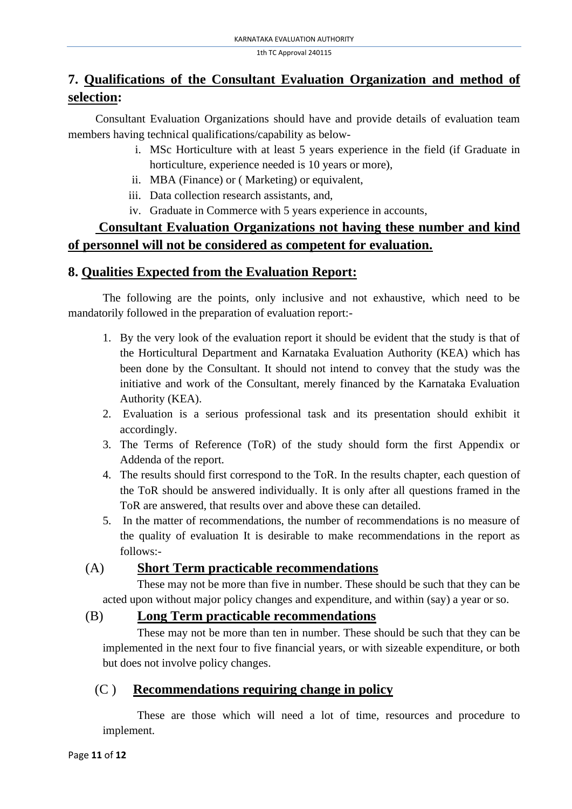# **7. Qualifications of the Consultant Evaluation Organization and method of selection:**

Consultant Evaluation Organizations should have and provide details of evaluation team members having technical qualifications/capability as below-

- i. MSc Horticulture with at least 5 years experience in the field (if Graduate in horticulture, experience needed is 10 years or more),
- ii. MBA (Finance) or ( Marketing) or equivalent,
- iii. Data collection research assistants, and,
- iv. Graduate in Commerce with 5 years experience in accounts,

# **Consultant Evaluation Organizations not having these number and kind of personnel will not be considered as competent for evaluation.**

# **8. Qualities Expected from the Evaluation Report:**

The following are the points, only inclusive and not exhaustive, which need to be mandatorily followed in the preparation of evaluation report:-

- 1. By the very look of the evaluation report it should be evident that the study is that of the Horticultural Department and Karnataka Evaluation Authority (KEA) which has been done by the Consultant. It should not intend to convey that the study was the initiative and work of the Consultant, merely financed by the Karnataka Evaluation Authority (KEA).
- 2. Evaluation is a serious professional task and its presentation should exhibit it accordingly.
- 3. The Terms of Reference (ToR) of the study should form the first Appendix or Addenda of the report.
- 4. The results should first correspond to the ToR. In the results chapter, each question of the ToR should be answered individually. It is only after all questions framed in the ToR are answered, that results over and above these can detailed.
- 5. In the matter of recommendations, the number of recommendations is no measure of the quality of evaluation It is desirable to make recommendations in the report as follows:-

# (A) **Short Term practicable recommendations**

These may not be more than five in number. These should be such that they can be acted upon without major policy changes and expenditure, and within (say) a year or so.

# (B) **Long Term practicable recommendations**

These may not be more than ten in number. These should be such that they can be implemented in the next four to five financial years, or with sizeable expenditure, or both but does not involve policy changes.

# (C ) **Recommendations requiring change in policy**

These are those which will need a lot of time, resources and procedure to implement.